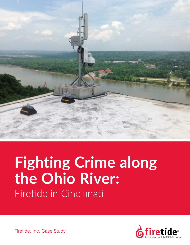

# **Fighting Crime along the Ohio River:** Firetide in Cincinnati



Firetide, Inc. Case Study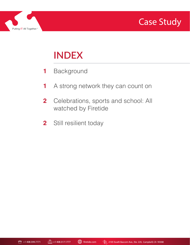



# **INDEX**

- Background **1**
- A strong network they can count on **1**
- Celebrations, sports and school: All watched by Firetide **2**
- Still resilient today **2**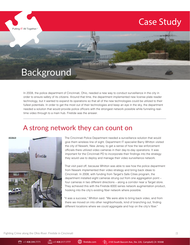

## Background

Putting IT All Together.<sup>®</sup>

In 2008, the police department of Cincinnati, Ohio, needed a new way to conduct surveillance in the city in order to ensure safety of its citizens. Around that time, the department implemented new license plate reader technology, but it wanted to expand its operations so that all of the new technologies could be utilized to their fullest potentials. In order to get the most out of their technologies and keep an eye in the sky, the department needed a solution that would provide police officers with the strongest network possible while funneling realtime video through to a main hub. Firetide was the answer.

#### A strong network they can count on



The Cincinnati Police Department needed a surveillance solution that would give them wireless line of sight. Department IT specialist Barry Whitton visited the city of Newark, New Jersey, to get a sense of how the law enforcement officials there utilized video cameras in their day-to-day operations. It was important for the Cincinnati PD to incorporate their findings into the strategy they would use to deploy and manage their video surveillance network.

That visit paid off, because Whitton was able to see how the police department from Newark implemented their video strategy and bring back ideas to Cincinnati. In 2008, with funding from Target's Safe Cities program, the department installed eight cameras strung out from one aggregation point – four cameras in two different directions – along a corridor near a Target store. They achieved this with the Firetide 6000 series network augmentation product, hooking into the city's existing fiber network where possible.

"It was a success," Whitton said. "We were able to bring back video, and from there we moved on into other neighborhoods, kind of branching out, finding different locations where we could aggregate and hop on the city's fiber."

Fighting Crime along the Ohio River: Firetide in Cincinnati  $|1$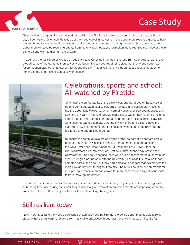

Putting IT All Together.<sup>®</sup>

They continued augmenting the network by utilizing the Firetide technology to connect the cameras with the city's fiber. As the Cincinnati PD rolled out the video surveillance system, the department received grants to help pay for the new video surveillance system and to fund any maintenance it might require. Soon, however, the department will also be receiving capital from the city itself, because lawmakers have realized the value of these cameras and want to maintain the system.

In addition, the resilience of Firetide's nodes will save Cincinnati money in the long run. As of August 2015, even though some of the cameras themselves were beginning to need repair or replacement, only one node had failed mechanically out of a total of 180 around the city. This gives the city a good, cost-effective strategy for fighting crime and making detective work easier.



#### Celebrations, sports and school: All watched by Firetide

Cincinnati sits on the banks of the Ohio River, and hundreds of thousands of people come out each year to celebrate holidays and participate in events like the Labor Day Fireworks, which normally sees over 500,000 attendees. In addition, annually, millions of people come out to watch their favorite Cincinnati sports teams – the Bengals for football and the Reds for baseball – play. The Cincinnati PD wanted to make sure the city's visitors and citizens have the support of law enforcement, and Firetide's network technology provided the resilience and capabilities required.

To ensure the safety of revelers and sports fans, as part of a separate banks project, Cincinnati PD installed a heavy concentration of cameras along the Ohio River near Great American Ball Park and Paul Brown Stadium. The department also implemented Firetide's MIMO technology around the University of Cincinnati, because there were quite a few cameras already in that area. Through a partnership with the university, Cincinnati PD installed those cameras some time ago – but they had a desire to connect that system with the main Firetide network throughout the city. The MIMO solution (which stands for multiple input, multiple output) allows for more cameras and higher bandwidth to travel through the network.

In addition, these cameras have been used by fire departments and emergency response teams during spills or building fires, and during the winter they're used to give information on which streets are impassable due to snow. All of these different capabilities contribute to making the city safer.

#### Still resilient today

Now, in 2015, utilizing the video surveillance system provided by Firetide, the police department is able to relay video to that central command point from many different places throughout the city's 77 square miles. So far,

Fighting Crime along the Ohio River: Firetide in Cincinnati  $|2 \rangle$ 

2105 South Bascom Ave., Ste. 220, Campbell, CA 95008